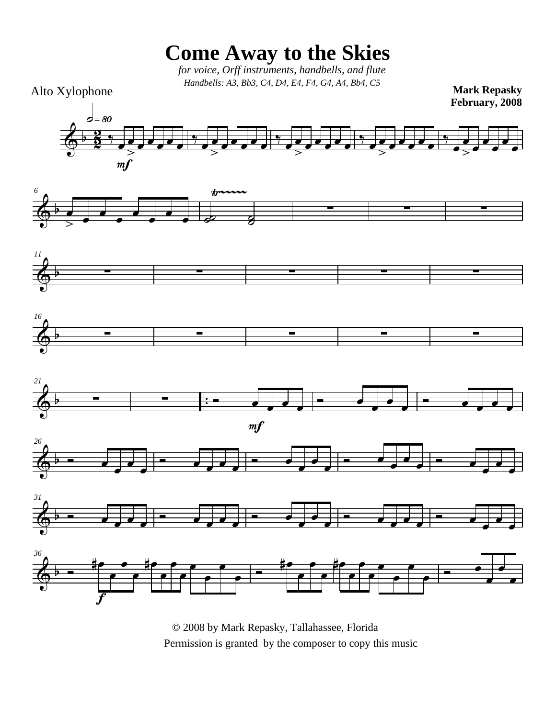**Come Away to the Skies**

 *for voice, Orff instruments, handbells, and flute Handbells: A3, Bb3, C4, D4, E4, F4, G4, A4, Bb4, C5*

Alto Xylophone

 $\overline{\Phi^{\flat}}$ 

œ

 $\leftarrow \frac{2}{3}$  $\frac{2}{2}$   $\frac{1}{2}$  $\frac{1}{\sqrt{2}}$  $\overline{>}$  $\overrightarrow{e}$  $m<sub>j</sub>$  $\phi = 80$  $\frac{1}{\mathcal{I}}$  $\frac{1}{\sqrt{2}}$  $\geq$  $\overrightarrow{e}$  $\frac{1}{\mathcal{I}}$  $\frac{1}{\sqrt{2}}$  $\equiv$  $\overrightarrow{e}$  $\frac{1}{\mathcal{I}}$  $\frac{1}{\sqrt{2}}$  $\geq$  $\overrightarrow{e}$  $\frac{1}{\mathcal{I}}$ œ œ  $\frac{d}{dx}$ œ œ  $\overline{\phantom{a}}$ œ *<sup>6</sup>* Ÿ~~~~~  $\frac{1}{\sqrt{2}}$  $\overline{\bullet}$ œ  $\overline{\bullet}$ œ œ  $\overrightarrow{e}$   $\overrightarrow{e}$ ˙ <sup>∑</sup> <sup>∑</sup> <sup>∑</sup> **Mark Repasky February, 2008**













© 2008 by Mark Repasky, Tallahassee, Florida Permission is granted by the composer to copy this music